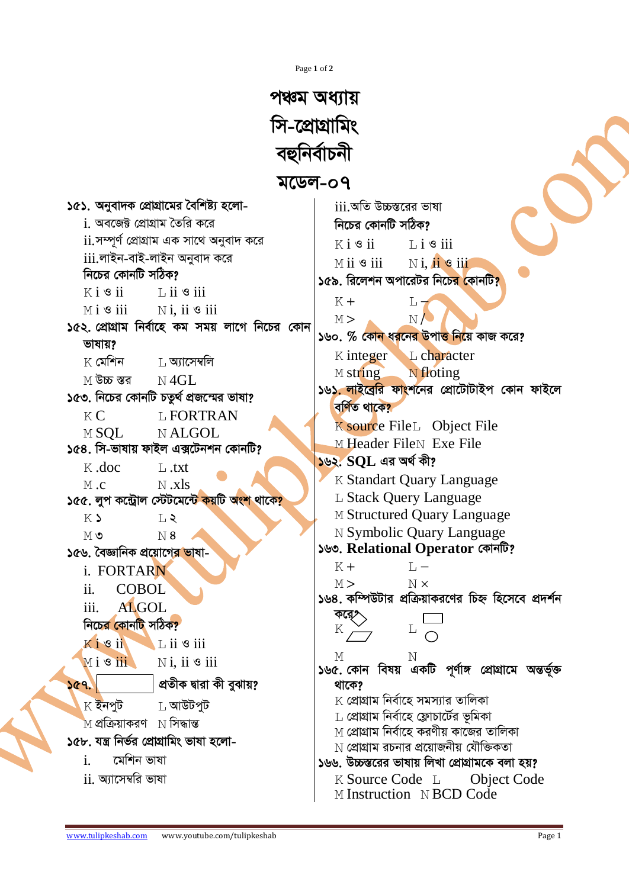Page 1 of 2

পঞ্চম অধ্যায় সি-প্রোগ্রামিং বহুনিৰ্বাচনী মডেল-০৭ ১৫১. অনুবাদক প্রোগ্রামের বৈশিষ্ট্য হলোiii অতি উচ্চস্তরের ভাষা i অবজের্দ্গ প্রোগ্রাম তৈরি করে নিচের কোনটি সঠিক? <u>ii.সম্পূৰ্ণ প্ৰোগ্ৰাম এক সাথে অনুবাদ করে</u>  $K$ i  $\mathcal S$  ii  $Li$   $\circ$  iii iii.লাইন-বাই-লাইন অনবাদ করে  $M$  ii  $\mathcal S$  iii  $N$ i.  $n = 0$ নিচের কোনটি সঠিক? ১৫৯. রিলেশন অপারেটর নিচের কোনটি<mark>?</mark>  $K$ i  $\mathcal S$  ii  $\overline{1}$ , ii  $\overline{9}$  iii  $K +$  $L_{7}$  $M i$  3 iii  $N$ *i*. ii  $\mathcal S$  iii  $N<sub>l</sub>$  $M >$ ১৫২. প্রোগ্রাম নির্বাহে কম সময় লাগে নিচের কোন ১৬০. % কোন ধরনের উপাত্ত নিয়ে কাজ করে? ভাষায়? L. character  $K$  integer  $K$  মেশিন T. **অ**াসেম্বলি M string N floting M উচ্চ স্তর  $N4GL$ ১৬১<u>. লাইবেরি ফাং</u>শনের প্রোটোটাইপ কোন ফাইলে ১৫৩. নিচের কোনটি চতুর্থ প্রজন্মের ভাষা? বৰ্ণিত থাকে?  $K<sub>C</sub>$ **L FORTRAN** K source File<sub>L</sub> Object File **MSOL**  $N$  ALGOL. M Header FileN Exe File ১৫৪. সি-ভাষায় ফাইল এক্সটেনশন কোনটি?  $592.$   $SOL$  এর অর্থ কী? K .doc  $L$ .txt **K Standart Ouary Language**  $M_{c}$  $N$  .xls ১৫৫. লুপ কন্ট্রোল স্টেটমেন্টে কয়টি অংশ থাকে? L Stack Query Language M Structured Ouary Language  $K$  $T_{1}$ N Symbolic Quary Language  $M$  ৩  $N8$ ১৬৩. Relational Operator কোনটি? ১৫৬, বৈজ্ঞানিক প্রয়োগের ভাষা- $K +$  $T_{\rm t}$  – i. FORTARN N x  $M >$  $ii$ COBOL ১৬৪. কম্পিউটার প্রক্রিয়াকরণের চিহ্ন হিসেবে প্রদর্শন ALGOL.  $iii.$ নিচের কোনটি সঠিক? K  $\Box$  L ii  $\circ$  iii  $K$  i  $S$  ii  $M i$  s  $iii$  $N$ i. ii  $\mathcal S$  iii ১৬৫. কোন বিষয় একটি পূর্ণাঙ্গ প্রোগ্রামে অন্তর্ভুক্ত প্ৰতীক দ্বারা কী বুঝায়? ১৫৭. থাকে?  $\boldsymbol{\mathrm{K}}$  প্রোগ্রাম নির্বাহে সমস্যার তালিকা  $K$  ইনপট  $L$  আউটপট  $\,$  প্রোগ্রাম নির্বাহে ফ্লোচার্টের ভূমিকা M প্রক্রিয়াকরণ N সিদ্ধান্ত <u>M প্রোগ্রাম নির্বাহে করণীয় কাজের তালিকা</u> ১৫৮. যন্ত্ৰ নিৰ্ভর প্ৰোগ্ৰামিং ভাষা হলো-N প্রোগ্রাম রচনার প্রয়োজনীয় যৌক্তিকতা মেশিন ভাষা  $\mathbf{i}$ . ১৬৬. উচ্চস্তরের ভাষায় লিখা প্রোগ্রামকে বলা হয়?  $ii$ , অ্যাসেম্বরি ভাষা K Source Code L **Object Code** M Instruction N BCD Code